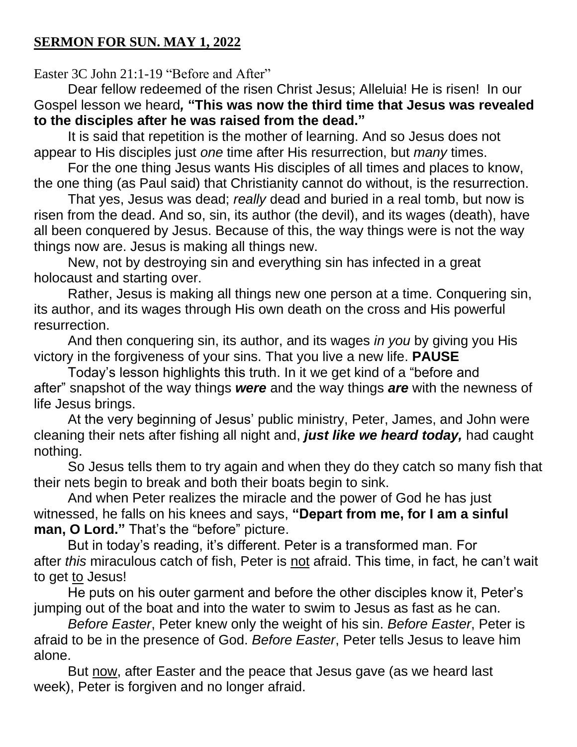## **SERMON FOR SUN. MAY 1, 2022**

Easter 3C John 21:1-19 "Before and After"

Dear fellow redeemed of the risen Christ Jesus; Alleluia! He is risen! In our Gospel lesson we heard*,* **"This was now the third time that Jesus was revealed to the disciples after he was raised from the dead."**

It is said that repetition is the mother of learning. And so Jesus does not appear to His disciples just *one* time after His resurrection, but *many* times.

For the one thing Jesus wants His disciples of all times and places to know, the one thing (as Paul said) that Christianity cannot do without, is the resurrection.

That yes, Jesus was dead; *really* dead and buried in a real tomb, but now is risen from the dead. And so, sin, its author (the devil), and its wages (death), have all been conquered by Jesus. Because of this, the way things were is not the way things now are. Jesus is making all things new.

New, not by destroying sin and everything sin has infected in a great holocaust and starting over.

Rather, Jesus is making all things new one person at a time. Conquering sin, its author, and its wages through His own death on the cross and His powerful resurrection.

And then conquering sin, its author, and its wages *in you* by giving you His victory in the forgiveness of your sins. That you live a new life. **PAUSE**

Today's lesson highlights this truth. In it we get kind of a "before and after" snapshot of the way things *were* and the way things *are* with the newness of life Jesus brings.

At the very beginning of Jesus' public ministry, Peter, James, and John were cleaning their nets after fishing all night and, *just like we heard today,* had caught nothing.

So Jesus tells them to try again and when they do they catch so many fish that their nets begin to break and both their boats begin to sink.

And when Peter realizes the miracle and the power of God he has just witnessed, he falls on his knees and says, **"Depart from me, for I am a sinful man, O Lord."** That's the "before" picture.

But in today's reading, it's different. Peter is a transformed man. For after *this* miraculous catch of fish, Peter is not afraid. This time, in fact, he can't wait to get to Jesus!

He puts on his outer garment and before the other disciples know it, Peter's jumping out of the boat and into the water to swim to Jesus as fast as he can.

*Before Easter*, Peter knew only the weight of his sin. *Before Easter*, Peter is afraid to be in the presence of God. *Before Easter*, Peter tells Jesus to leave him alone.

But now, after Easter and the peace that Jesus gave (as we heard last week), Peter is forgiven and no longer afraid.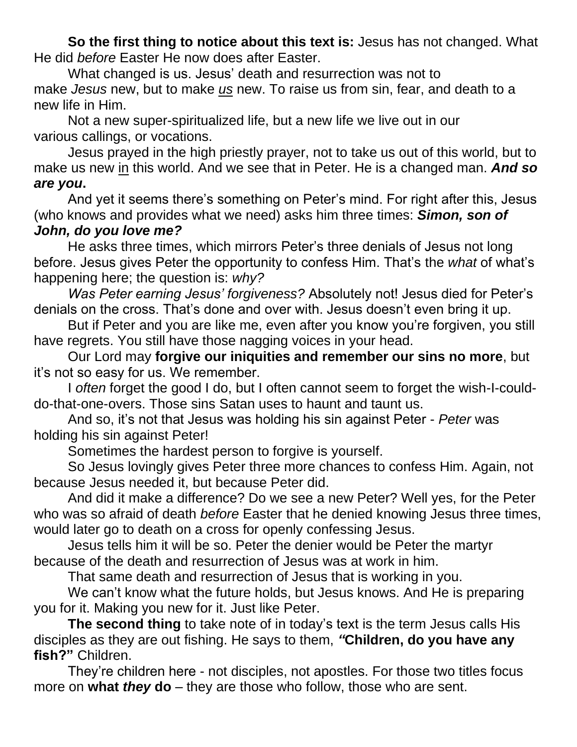**So the first thing to notice about this text is:** Jesus has not changed. What He did *before* Easter He now does after Easter.

What changed is us. Jesus' death and resurrection was not to make *Jesus* new, but to make *us* new. To raise us from sin, fear, and death to a new life in Him.

Not a new super-spiritualized life, but a new life we live out in our various callings, or vocations.

Jesus prayed in the high priestly prayer, not to take us out of this world, but to make us new in this world. And we see that in Peter. He is a changed man. *And so are you***.**

And yet it seems there's something on Peter's mind. For right after this, Jesus (who knows and provides what we need) asks him three times: *Simon, son of John, do you love me?*

He asks three times, which mirrors Peter's three denials of Jesus not long before. Jesus gives Peter the opportunity to confess Him. That's the *what* of what's happening here; the question is: *why?*

*Was Peter earning Jesus' forgiveness?* Absolutely not! Jesus died for Peter's denials on the cross. That's done and over with. Jesus doesn't even bring it up.

But if Peter and you are like me, even after you know you're forgiven, you still have regrets. You still have those nagging voices in your head.

Our Lord may **forgive our iniquities and remember our sins no more**, but it's not so easy for us. We remember.

I *often* forget the good I do, but I often cannot seem to forget the wish-I-coulddo-that-one-overs. Those sins Satan uses to haunt and taunt us.

And so, it's not that Jesus was holding his sin against Peter - *Peter* was holding his sin against Peter!

Sometimes the hardest person to forgive is yourself.

So Jesus lovingly gives Peter three more chances to confess Him. Again, not because Jesus needed it, but because Peter did.

And did it make a difference? Do we see a new Peter? Well yes, for the Peter who was so afraid of death *before* Easter that he denied knowing Jesus three times, would later go to death on a cross for openly confessing Jesus.

Jesus tells him it will be so. Peter the denier would be Peter the martyr because of the death and resurrection of Jesus was at work in him.

That same death and resurrection of Jesus that is working in you.

We can't know what the future holds, but Jesus knows. And He is preparing you for it. Making you new for it. Just like Peter.

**The second thing** to take note of in today's text is the term Jesus calls His disciples as they are out fishing. He says to them, *"***Children, do you have any fish?"** Children.

They're children here - not disciples, not apostles. For those two titles focus more on **what** *they* **do** – they are those who follow, those who are sent.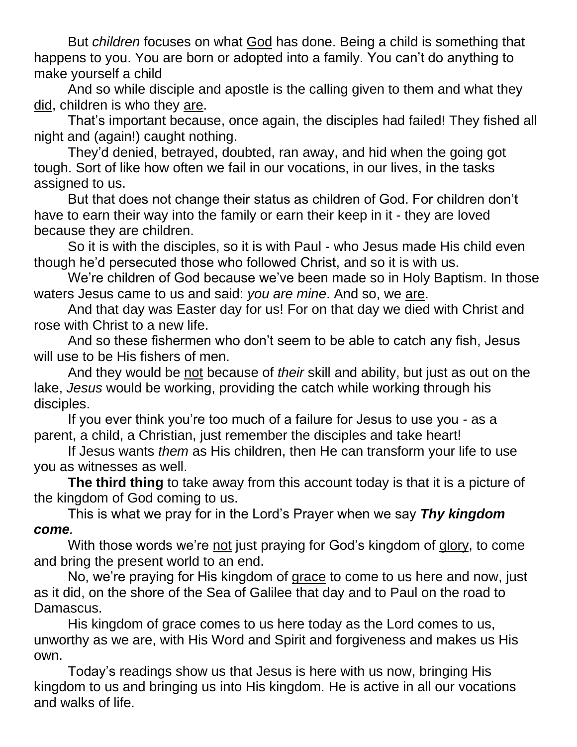But *children* focuses on what God has done. Being a child is something that happens to you. You are born or adopted into a family. You can't do anything to make yourself a child

And so while disciple and apostle is the calling given to them and what they did, children is who they are.

That's important because, once again, the disciples had failed! They fished all night and (again!) caught nothing.

They'd denied, betrayed, doubted, ran away, and hid when the going got tough. Sort of like how often we fail in our vocations, in our lives, in the tasks assigned to us.

But that does not change their status as children of God. For children don't have to earn their way into the family or earn their keep in it - they are loved because they are children.

So it is with the disciples, so it is with Paul - who Jesus made His child even though he'd persecuted those who followed Christ, and so it is with us.

We're children of God because we've been made so in Holy Baptism. In those waters Jesus came to us and said: *you are mine*. And so, we are.

And that day was Easter day for us! For on that day we died with Christ and rose with Christ to a new life.

And so these fishermen who don't seem to be able to catch any fish, Jesus will use to be His fishers of men.

And they would be not because of *their* skill and ability, but just as out on the lake, *Jesus* would be working, providing the catch while working through his disciples.

If you ever think you're too much of a failure for Jesus to use you - as a parent, a child, a Christian, just remember the disciples and take heart!

If Jesus wants *them* as His children, then He can transform your life to use you as witnesses as well.

**The third thing** to take away from this account today is that it is a picture of the kingdom of God coming to us.

This is what we pray for in the Lord's Prayer when we say *Thy kingdom come.*

With those words we're not just praying for God's kingdom of glory, to come and bring the present world to an end.

No, we're praying for His kingdom of grace to come to us here and now, just as it did, on the shore of the Sea of Galilee that day and to Paul on the road to Damascus.

His kingdom of grace comes to us here today as the Lord comes to us, unworthy as we are, with His Word and Spirit and forgiveness and makes us His own.

Today's readings show us that Jesus is here with us now, bringing His kingdom to us and bringing us into His kingdom. He is active in all our vocations and walks of life.